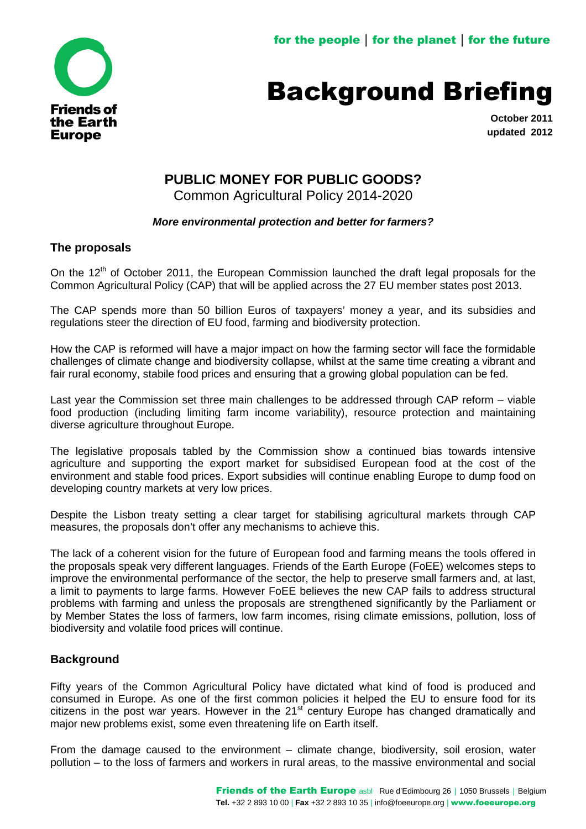

# Background Briefing

**October 2011 updated 2012**

# **PUBLIC MONEY FOR PUBLIC GOODS?**

Common Agricultural Policy 2014-2020

### *More environmental protection and better for farmers?*

#### **The proposals**

On the 12<sup>th</sup> of October 2011, the European Commission launched the draft legal proposals for the Common Agricultural Policy (CAP) that will be applied across the 27 EU member states post 2013.

The CAP spends more than 50 billion Euros of taxpayers' money a year, and its subsidies and regulations steer the direction of EU food, farming and biodiversity protection.

How the CAP is reformed will have a major impact on how the farming sector will face the formidable challenges of climate change and biodiversity collapse, whilst at the same time creating a vibrant and fair rural economy, stabile food prices and ensuring that a growing global population can be fed.

Last year the Commission set three main challenges to be addressed through CAP reform – viable food production (including limiting farm income variability), resource protection and maintaining diverse agriculture throughout Europe.

The legislative proposals tabled by the Commission show a continued bias towards intensive agriculture and supporting the export market for subsidised European food at the cost of the environment and stable food prices. Export subsidies will continue enabling Europe to dump food on developing country markets at very low prices.

Despite the Lisbon treaty setting a clear target for stabilising agricultural markets through CAP measures, the proposals don't offer any mechanisms to achieve this.

The lack of a coherent vision for the future of European food and farming means the tools offered in the proposals speak very different languages. Friends of the Earth Europe (FoEE) welcomes steps to improve the environmental performance of the sector, the help to preserve small farmers and, at last, a limit to payments to large farms. However FoEE believes the new CAP fails to address structural problems with farming and unless the proposals are strengthened significantly by the Parliament or by Member States the loss of farmers, low farm incomes, rising climate emissions, pollution, loss of biodiversity and volatile food prices will continue.

## **Background**

Fifty years of the Common Agricultural Policy have dictated what kind of food is produced and consumed in Europe. As one of the first common policies it helped the EU to ensure food for its citizens in the post war years. However in the  $21<sup>st</sup>$  century Europe has changed dramatically and major new problems exist, some even threatening life on Earth itself.

From the damage caused to the environment – climate change, biodiversity, soil erosion, water pollution – to the loss of farmers and workers in rural areas, to the massive environmental and social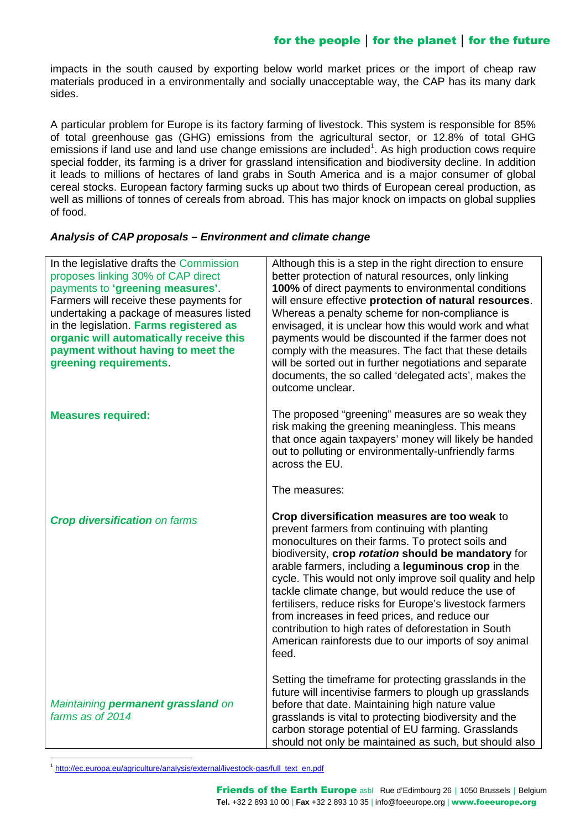impacts in the south caused by exporting below world market prices or the import of cheap raw materials produced in a environmentally and socially unacceptable way, the CAP has its many dark sides.

A particular problem for Europe is its factory farming of livestock. This system is responsible for 85% of total greenhouse gas (GHG) emissions from the agricultural sector, or 12.8% of total GHG emissions if land use and land use change emissions are included<sup>[1](#page-1-0)</sup>. As high production cows require special fodder, its farming is a driver for grassland intensification and biodiversity decline. In addition it leads to millions of hectares of land grabs in South America and is a major consumer of global cereal stocks. European factory farming sucks up about two thirds of European cereal production, as well as millions of tonnes of cereals from abroad. This has major knock on impacts on global supplies of food.

#### *Analysis of CAP proposals – Environment and climate change*

| In the legislative drafts the Commission<br>proposes linking 30% of CAP direct<br>payments to 'greening measures'.<br>Farmers will receive these payments for<br>undertaking a package of measures listed<br>in the legislation. Farms registered as<br>organic will automatically receive this<br>payment without having to meet the | Although this is a step in the right direction to ensure<br>better protection of natural resources, only linking<br>100% of direct payments to environmental conditions<br>will ensure effective protection of natural resources.<br>Whereas a penalty scheme for non-compliance is<br>envisaged, it is unclear how this would work and what<br>payments would be discounted if the farmer does not<br>comply with the measures. The fact that these details                                                                                                                                                              |
|---------------------------------------------------------------------------------------------------------------------------------------------------------------------------------------------------------------------------------------------------------------------------------------------------------------------------------------|---------------------------------------------------------------------------------------------------------------------------------------------------------------------------------------------------------------------------------------------------------------------------------------------------------------------------------------------------------------------------------------------------------------------------------------------------------------------------------------------------------------------------------------------------------------------------------------------------------------------------|
| greening requirements.                                                                                                                                                                                                                                                                                                                | will be sorted out in further negotiations and separate<br>documents, the so called 'delegated acts', makes the<br>outcome unclear.                                                                                                                                                                                                                                                                                                                                                                                                                                                                                       |
| <b>Measures required:</b>                                                                                                                                                                                                                                                                                                             | The proposed "greening" measures are so weak they<br>risk making the greening meaningless. This means<br>that once again taxpayers' money will likely be handed<br>out to polluting or environmentally-unfriendly farms<br>across the EU.                                                                                                                                                                                                                                                                                                                                                                                 |
|                                                                                                                                                                                                                                                                                                                                       | The measures:                                                                                                                                                                                                                                                                                                                                                                                                                                                                                                                                                                                                             |
| <b>Crop diversification on farms</b>                                                                                                                                                                                                                                                                                                  | Crop diversification measures are too weak to<br>prevent farmers from continuing with planting<br>monocultures on their farms. To protect soils and<br>biodiversity, crop rotation should be mandatory for<br>arable farmers, including a leguminous crop in the<br>cycle. This would not only improve soil quality and help<br>tackle climate change, but would reduce the use of<br>fertilisers, reduce risks for Europe's livestock farmers<br>from increases in feed prices, and reduce our<br>contribution to high rates of deforestation in South<br>American rainforests due to our imports of soy animal<br>feed. |
| Maintaining permanent grassland on<br>farms as of 2014                                                                                                                                                                                                                                                                                | Setting the timeframe for protecting grasslands in the<br>future will incentivise farmers to plough up grasslands<br>before that date. Maintaining high nature value<br>grasslands is vital to protecting biodiversity and the<br>carbon storage potential of EU farming. Grasslands<br>should not only be maintained as such, but should also                                                                                                                                                                                                                                                                            |

<span id="page-1-0"></span><sup>&</sup>lt;sup>1</sup> http://ec.europa.eu/agriculture/analysis/external/livestock-gas/full\_text\_en.pdf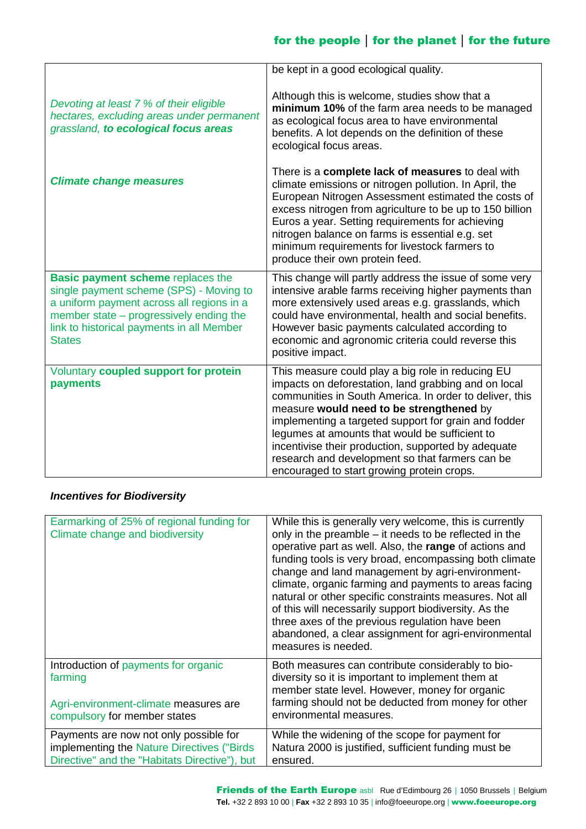|                                                                                                                                                                                                                                           | be kept in a good ecological quality.                                                                                                                                                                                                                                                                                                                                                                                                                                              |
|-------------------------------------------------------------------------------------------------------------------------------------------------------------------------------------------------------------------------------------------|------------------------------------------------------------------------------------------------------------------------------------------------------------------------------------------------------------------------------------------------------------------------------------------------------------------------------------------------------------------------------------------------------------------------------------------------------------------------------------|
| Devoting at least 7 % of their eligible<br>hectares, excluding areas under permanent<br>grassland, to ecological focus areas                                                                                                              | Although this is welcome, studies show that a<br>minimum 10% of the farm area needs to be managed<br>as ecological focus area to have environmental<br>benefits. A lot depends on the definition of these<br>ecological focus areas.                                                                                                                                                                                                                                               |
| <b>Climate change measures</b>                                                                                                                                                                                                            | There is a complete lack of measures to deal with<br>climate emissions or nitrogen pollution. In April, the<br>European Nitrogen Assessment estimated the costs of<br>excess nitrogen from agriculture to be up to 150 billion<br>Euros a year. Setting requirements for achieving<br>nitrogen balance on farms is essential e.g. set<br>minimum requirements for livestock farmers to<br>produce their own protein feed.                                                          |
| <b>Basic payment scheme replaces the</b><br>single payment scheme (SPS) - Moving to<br>a uniform payment across all regions in a<br>member state – progressively ending the<br>link to historical payments in all Member<br><b>States</b> | This change will partly address the issue of some very<br>intensive arable farms receiving higher payments than<br>more extensively used areas e.g. grasslands, which<br>could have environmental, health and social benefits.<br>However basic payments calculated according to<br>economic and agronomic criteria could reverse this<br>positive impact.                                                                                                                         |
| Voluntary coupled support for protein<br>payments                                                                                                                                                                                         | This measure could play a big role in reducing EU<br>impacts on deforestation, land grabbing and on local<br>communities in South America. In order to deliver, this<br>measure would need to be strengthened by<br>implementing a targeted support for grain and fodder<br>legumes at amounts that would be sufficient to<br>incentivise their production, supported by adequate<br>research and development so that farmers can be<br>encouraged to start growing protein crops. |

### *Incentives for Biodiversity*

| Earmarking of 25% of regional funding for<br>Climate change and biodiversity                                                          | While this is generally very welcome, this is currently<br>only in the preamble – it needs to be reflected in the<br>operative part as well. Also, the range of actions and<br>funding tools is very broad, encompassing both climate<br>change and land management by agri-environment-<br>climate, organic farming and payments to areas facing<br>natural or other specific constraints measures. Not all<br>of this will necessarily support biodiversity. As the<br>three axes of the previous regulation have been<br>abandoned, a clear assignment for agri-environmental<br>measures is needed. |
|---------------------------------------------------------------------------------------------------------------------------------------|---------------------------------------------------------------------------------------------------------------------------------------------------------------------------------------------------------------------------------------------------------------------------------------------------------------------------------------------------------------------------------------------------------------------------------------------------------------------------------------------------------------------------------------------------------------------------------------------------------|
| Introduction of payments for organic<br>farming<br>Agri-environment-climate measures are<br>compulsory for member states              | Both measures can contribute considerably to bio-<br>diversity so it is important to implement them at<br>member state level. However, money for organic<br>farming should not be deducted from money for other<br>environmental measures.                                                                                                                                                                                                                                                                                                                                                              |
| Payments are now not only possible for<br>implementing the Nature Directives ("Birds<br>Directive" and the "Habitats Directive"), but | While the widening of the scope for payment for<br>Natura 2000 is justified, sufficient funding must be<br>ensured.                                                                                                                                                                                                                                                                                                                                                                                                                                                                                     |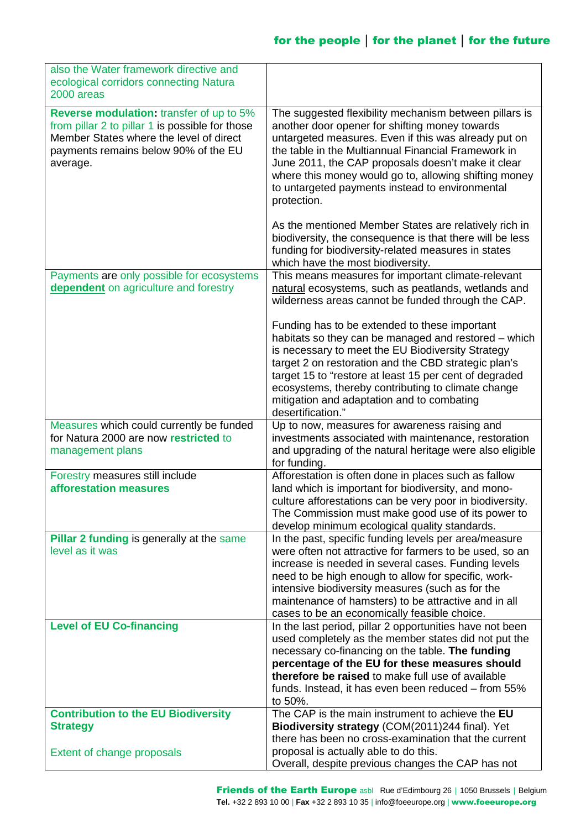| also the Water framework directive and<br>ecological corridors connecting Natura<br>2000 areas                                                                                             |                                                                                                                                                                                                                                                                                                                                                                                                          |
|--------------------------------------------------------------------------------------------------------------------------------------------------------------------------------------------|----------------------------------------------------------------------------------------------------------------------------------------------------------------------------------------------------------------------------------------------------------------------------------------------------------------------------------------------------------------------------------------------------------|
| Reverse modulation: transfer of up to 5%<br>from pillar 2 to pillar 1 is possible for those<br>Member States where the level of direct<br>payments remains below 90% of the EU<br>average. | The suggested flexibility mechanism between pillars is<br>another door opener for shifting money towards<br>untargeted measures. Even if this was already put on<br>the table in the Multiannual Financial Framework in<br>June 2011, the CAP proposals doesn't make it clear<br>where this money would go to, allowing shifting money<br>to untargeted payments instead to environmental<br>protection. |
|                                                                                                                                                                                            | As the mentioned Member States are relatively rich in<br>biodiversity, the consequence is that there will be less<br>funding for biodiversity-related measures in states<br>which have the most biodiversity.                                                                                                                                                                                            |
| Payments are only possible for ecosystems<br>dependent on agriculture and forestry                                                                                                         | This means measures for important climate-relevant<br>natural ecosystems, such as peatlands, wetlands and<br>wilderness areas cannot be funded through the CAP.                                                                                                                                                                                                                                          |
|                                                                                                                                                                                            | Funding has to be extended to these important<br>habitats so they can be managed and restored - which<br>is necessary to meet the EU Biodiversity Strategy<br>target 2 on restoration and the CBD strategic plan's<br>target 15 to "restore at least 15 per cent of degraded<br>ecosystems, thereby contributing to climate change<br>mitigation and adaptation and to combating<br>desertification."    |
| Measures which could currently be funded<br>for Natura 2000 are now restricted to<br>management plans                                                                                      | Up to now, measures for awareness raising and<br>investments associated with maintenance, restoration<br>and upgrading of the natural heritage were also eligible<br>for funding.                                                                                                                                                                                                                        |
| Forestry measures still include<br>afforestation measures                                                                                                                                  | Afforestation is often done in places such as fallow<br>land which is important for biodiversity, and mono-<br>culture afforestations can be very poor in biodiversity.<br>The Commission must make good use of its power to<br>develop minimum ecological quality standards.                                                                                                                            |
| Pillar 2 funding is generally at the same<br>level as it was                                                                                                                               | In the past, specific funding levels per area/measure<br>were often not attractive for farmers to be used, so an<br>increase is needed in several cases. Funding levels<br>need to be high enough to allow for specific, work-<br>intensive biodiversity measures (such as for the<br>maintenance of hamsters) to be attractive and in all<br>cases to be an economically feasible choice.               |
| <b>Level of EU Co-financing</b>                                                                                                                                                            | In the last period, pillar 2 opportunities have not been<br>used completely as the member states did not put the<br>necessary co-financing on the table. The funding<br>percentage of the EU for these measures should<br>therefore be raised to make full use of available<br>funds. Instead, it has even been reduced – from 55%<br>to 50%.                                                            |
| <b>Contribution to the EU Biodiversity</b><br><b>Strategy</b>                                                                                                                              | The CAP is the main instrument to achieve the EU<br>Biodiversity strategy (COM(2011)244 final). Yet                                                                                                                                                                                                                                                                                                      |
| Extent of change proposals                                                                                                                                                                 | there has been no cross-examination that the current<br>proposal is actually able to do this.<br>Overall, despite previous changes the CAP has not                                                                                                                                                                                                                                                       |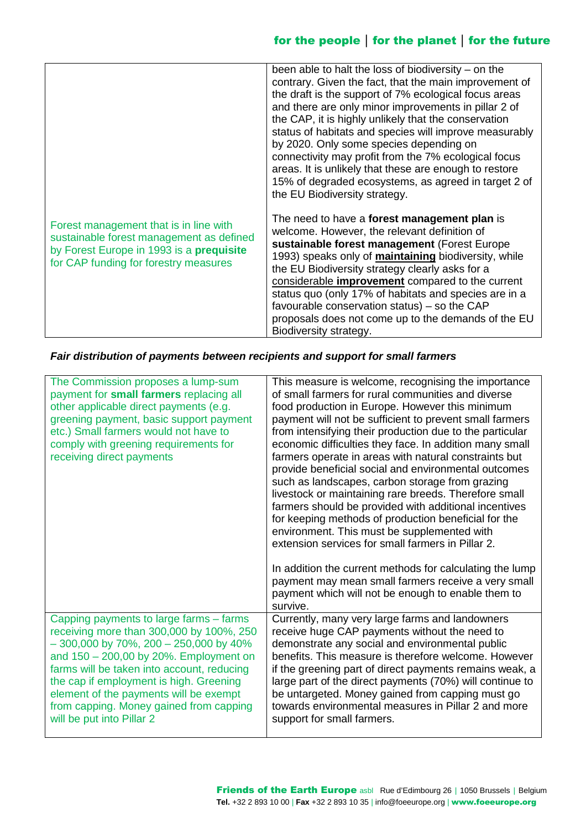|                                                                                                                                                                         | been able to halt the loss of biodiversity $-$ on the<br>contrary. Given the fact, that the main improvement of<br>the draft is the support of 7% ecological focus areas<br>and there are only minor improvements in pillar 2 of<br>the CAP, it is highly unlikely that the conservation<br>status of habitats and species will improve measurably<br>by 2020. Only some species depending on<br>connectivity may profit from the 7% ecological focus<br>areas. It is unlikely that these are enough to restore<br>15% of degraded ecosystems, as agreed in target 2 of<br>the EU Biodiversity strategy. |
|-------------------------------------------------------------------------------------------------------------------------------------------------------------------------|----------------------------------------------------------------------------------------------------------------------------------------------------------------------------------------------------------------------------------------------------------------------------------------------------------------------------------------------------------------------------------------------------------------------------------------------------------------------------------------------------------------------------------------------------------------------------------------------------------|
| Forest management that is in line with<br>sustainable forest management as defined<br>by Forest Europe in 1993 is a prequisite<br>for CAP funding for forestry measures | The need to have a <b>forest management plan</b> is<br>welcome. However, the relevant definition of<br>sustainable forest management (Forest Europe<br>1993) speaks only of <b>maintaining</b> biodiversity, while<br>the EU Biodiversity strategy clearly asks for a<br>considerable improvement compared to the current<br>status quo (only 17% of habitats and species are in a<br>favourable conservation status) - so the CAP<br>proposals does not come up to the demands of the EU<br>Biodiversity strategy.                                                                                      |

### *Fair distribution of payments between recipients and support for small farmers*

| The Commission proposes a lump-sum<br>payment for small farmers replacing all<br>other applicable direct payments (e.g.<br>greening payment, basic support payment<br>etc.) Small farmers would not have to<br>comply with greening requirements for<br>receiving direct payments                                                                                                    | This measure is welcome, recognising the importance<br>of small farmers for rural communities and diverse<br>food production in Europe. However this minimum<br>payment will not be sufficient to prevent small farmers<br>from intensifying their production due to the particular<br>economic difficulties they face. In addition many small<br>farmers operate in areas with natural constraints but<br>provide beneficial social and environmental outcomes<br>such as landscapes, carbon storage from grazing<br>livestock or maintaining rare breeds. Therefore small<br>farmers should be provided with additional incentives<br>for keeping methods of production beneficial for the<br>environment. This must be supplemented with<br>extension services for small farmers in Pillar 2. |
|--------------------------------------------------------------------------------------------------------------------------------------------------------------------------------------------------------------------------------------------------------------------------------------------------------------------------------------------------------------------------------------|--------------------------------------------------------------------------------------------------------------------------------------------------------------------------------------------------------------------------------------------------------------------------------------------------------------------------------------------------------------------------------------------------------------------------------------------------------------------------------------------------------------------------------------------------------------------------------------------------------------------------------------------------------------------------------------------------------------------------------------------------------------------------------------------------|
|                                                                                                                                                                                                                                                                                                                                                                                      | In addition the current methods for calculating the lump<br>payment may mean small farmers receive a very small<br>payment which will not be enough to enable them to<br>survive.                                                                                                                                                                                                                                                                                                                                                                                                                                                                                                                                                                                                                |
| Capping payments to large farms – farms<br>receiving more than 300,000 by 100%, 250<br>$-300,000$ by 70%, 200 $-250,000$ by 40%<br>and 150 - 200,00 by 20%. Employment on<br>farms will be taken into account, reducing<br>the cap if employment is high. Greening<br>element of the payments will be exempt<br>from capping. Money gained from capping<br>will be put into Pillar 2 | Currently, many very large farms and landowners<br>receive huge CAP payments without the need to<br>demonstrate any social and environmental public<br>benefits. This measure is therefore welcome. However<br>if the greening part of direct payments remains weak, a<br>large part of the direct payments (70%) will continue to<br>be untargeted. Money gained from capping must go<br>towards environmental measures in Pillar 2 and more<br>support for small farmers.                                                                                                                                                                                                                                                                                                                      |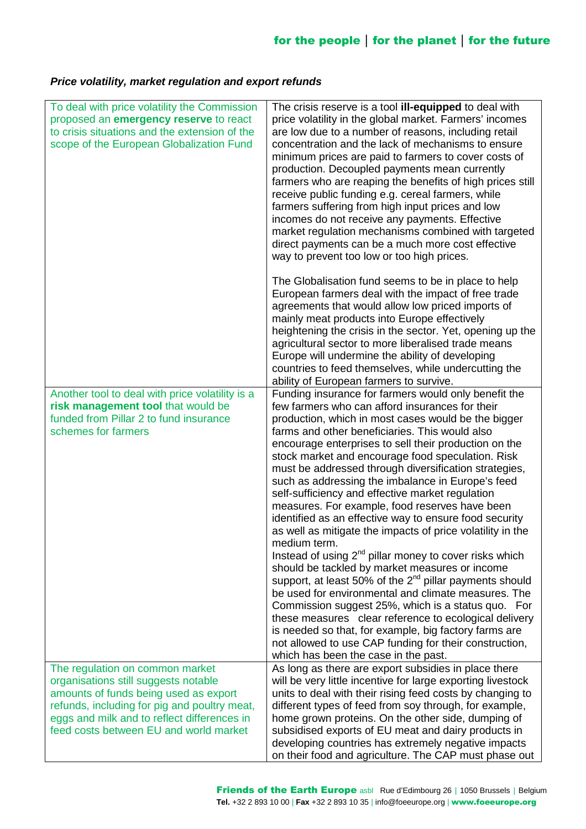### *Price volatility, market regulation and export refunds*

| To deal with price volatility the Commission<br>proposed an emergency reserve to react<br>to crisis situations and the extension of the<br>scope of the European Globalization Fund                                                                       | The crisis reserve is a tool <b>ill-equipped</b> to deal with<br>price volatility in the global market. Farmers' incomes<br>are low due to a number of reasons, including retail<br>concentration and the lack of mechanisms to ensure<br>minimum prices are paid to farmers to cover costs of<br>production. Decoupled payments mean currently<br>farmers who are reaping the benefits of high prices still<br>receive public funding e.g. cereal farmers, while<br>farmers suffering from high input prices and low<br>incomes do not receive any payments. Effective<br>market regulation mechanisms combined with targeted<br>direct payments can be a much more cost effective<br>way to prevent too low or too high prices.                                                                                                                                                                                                                                                                                                                                                                                                                                                                                   |
|-----------------------------------------------------------------------------------------------------------------------------------------------------------------------------------------------------------------------------------------------------------|---------------------------------------------------------------------------------------------------------------------------------------------------------------------------------------------------------------------------------------------------------------------------------------------------------------------------------------------------------------------------------------------------------------------------------------------------------------------------------------------------------------------------------------------------------------------------------------------------------------------------------------------------------------------------------------------------------------------------------------------------------------------------------------------------------------------------------------------------------------------------------------------------------------------------------------------------------------------------------------------------------------------------------------------------------------------------------------------------------------------------------------------------------------------------------------------------------------------|
|                                                                                                                                                                                                                                                           | The Globalisation fund seems to be in place to help<br>European farmers deal with the impact of free trade<br>agreements that would allow low priced imports of<br>mainly meat products into Europe effectively<br>heightening the crisis in the sector. Yet, opening up the<br>agricultural sector to more liberalised trade means<br>Europe will undermine the ability of developing<br>countries to feed themselves, while undercutting the<br>ability of European farmers to survive.                                                                                                                                                                                                                                                                                                                                                                                                                                                                                                                                                                                                                                                                                                                           |
| Another tool to deal with price volatility is a<br>risk management tool that would be<br>funded from Pillar 2 to fund insurance<br>schemes for farmers                                                                                                    | Funding insurance for farmers would only benefit the<br>few farmers who can afford insurances for their<br>production, which in most cases would be the bigger<br>farms and other beneficiaries. This would also<br>encourage enterprises to sell their production on the<br>stock market and encourage food speculation. Risk<br>must be addressed through diversification strategies,<br>such as addressing the imbalance in Europe's feed<br>self-sufficiency and effective market regulation<br>measures. For example, food reserves have been<br>identified as an effective way to ensure food security<br>as well as mitigate the impacts of price volatility in the<br>medium term.<br>Instead of using 2 <sup>nd</sup> pillar money to cover risks which<br>should be tackled by market measures or income<br>support, at least 50% of the $2^{nd}$ pillar payments should<br>be used for environmental and climate measures. The<br>Commission suggest 25%, which is a status quo. For<br>these measures clear reference to ecological delivery<br>is needed so that, for example, big factory farms are<br>not allowed to use CAP funding for their construction,<br>which has been the case in the past. |
| The regulation on common market<br>organisations still suggests notable<br>amounts of funds being used as export<br>refunds, including for pig and poultry meat,<br>eggs and milk and to reflect differences in<br>feed costs between EU and world market | As long as there are export subsidies in place there<br>will be very little incentive for large exporting livestock<br>units to deal with their rising feed costs by changing to<br>different types of feed from soy through, for example,<br>home grown proteins. On the other side, dumping of<br>subsidised exports of EU meat and dairy products in<br>developing countries has extremely negative impacts<br>on their food and agriculture. The CAP must phase out                                                                                                                                                                                                                                                                                                                                                                                                                                                                                                                                                                                                                                                                                                                                             |